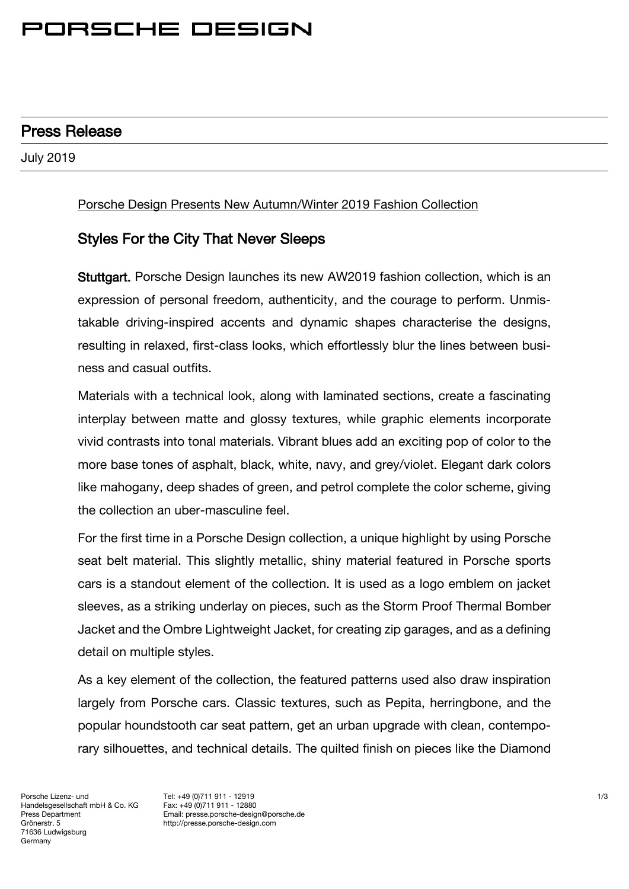# PORSCHE DESIGN

### Press Release

July 2019

#### Porsche Design Presents New Autumn/Winter 2019 Fashion Collection

### Styles For the City That Never Sleeps

Stuttgart. Porsche Design launches its new AW2019 fashion collection, which is an expression of personal freedom, authenticity, and the courage to perform. Unmistakable driving-inspired accents and dynamic shapes characterise the designs, resulting in relaxed, first-class looks, which effortlessly blur the lines between business and casual outfits.

Materials with a technical look, along with laminated sections, create a fascinating interplay between matte and glossy textures, while graphic elements incorporate vivid contrasts into tonal materials. Vibrant blues add an exciting pop of color to the more base tones of asphalt, black, white, navy, and grey/violet. Elegant dark colors like mahogany, deep shades of green, and petrol complete the color scheme, giving the collection an uber-masculine feel.

For the first time in a Porsche Design collection, a unique highlight by using Porsche seat belt material. This slightly metallic, shiny material featured in Porsche sports cars is a standout element of the collection. It is used as a logo emblem on jacket sleeves, as a striking underlay on pieces, such as the Storm Proof Thermal Bomber Jacket and the Ombre Lightweight Jacket, for creating zip garages, and as a defining detail on multiple styles.

As a key element of the collection, the featured patterns used also draw inspiration largely from Porsche cars. Classic textures, such as Pepita, herringbone, and the popular houndstooth car seat pattern, get an urban upgrade with clean, contemporary silhouettes, and technical details. The quilted finish on pieces like the Diamond

Porsche Lizenz- und Handelsgesellschaft mbH & Co. KG Press Department Grönerstr. 5 71636 Ludwigsburg Germany

Tel: +49 (0)711 911 - 12919 Fax: +49 (0)711 911 - 12880 Email: presse.porsche-design@porsche.de http://presse.porsche-design.com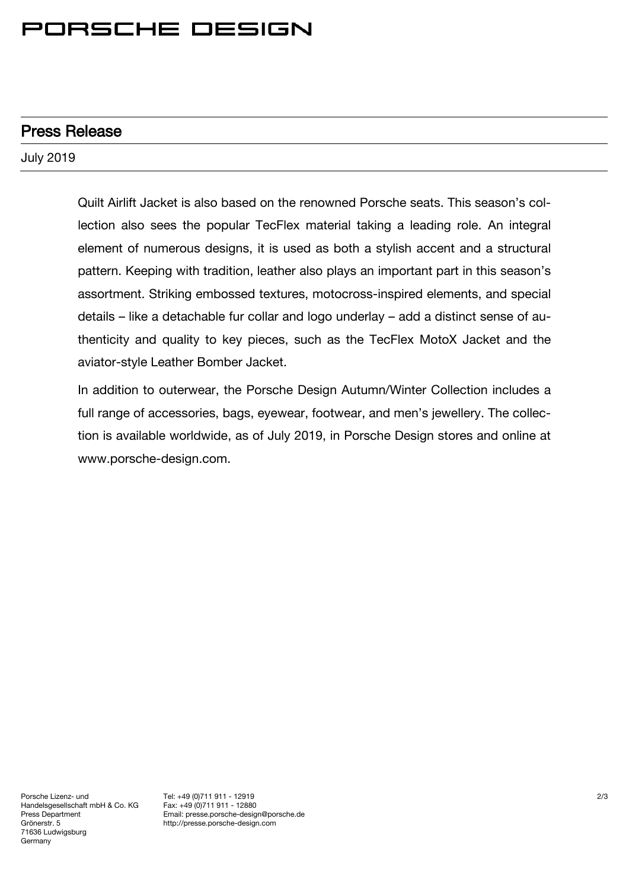## PORSCHE DESIGN

### Press Release

July 2019

Quilt Airlift Jacket is also based on the renowned Porsche seats. This season's collection also sees the popular TecFlex material taking a leading role. An integral element of numerous designs, it is used as both a stylish accent and a structural pattern. Keeping with tradition, leather also plays an important part in this season's assortment. Striking embossed textures, motocross-inspired elements, and special details – like a detachable fur collar and logo underlay – add a distinct sense of authenticity and quality to key pieces, such as the TecFlex MotoX Jacket and the aviator-style Leather Bomber Jacket.

In addition to outerwear, the Porsche Design Autumn/Winter Collection includes a full range of accessories, bags, eyewear, footwear, and men's jewellery. The collection is available worldwide, as of July 2019, in Porsche Design stores and online at [www.porsche-design.com.](http://www.porsche-design.com/)